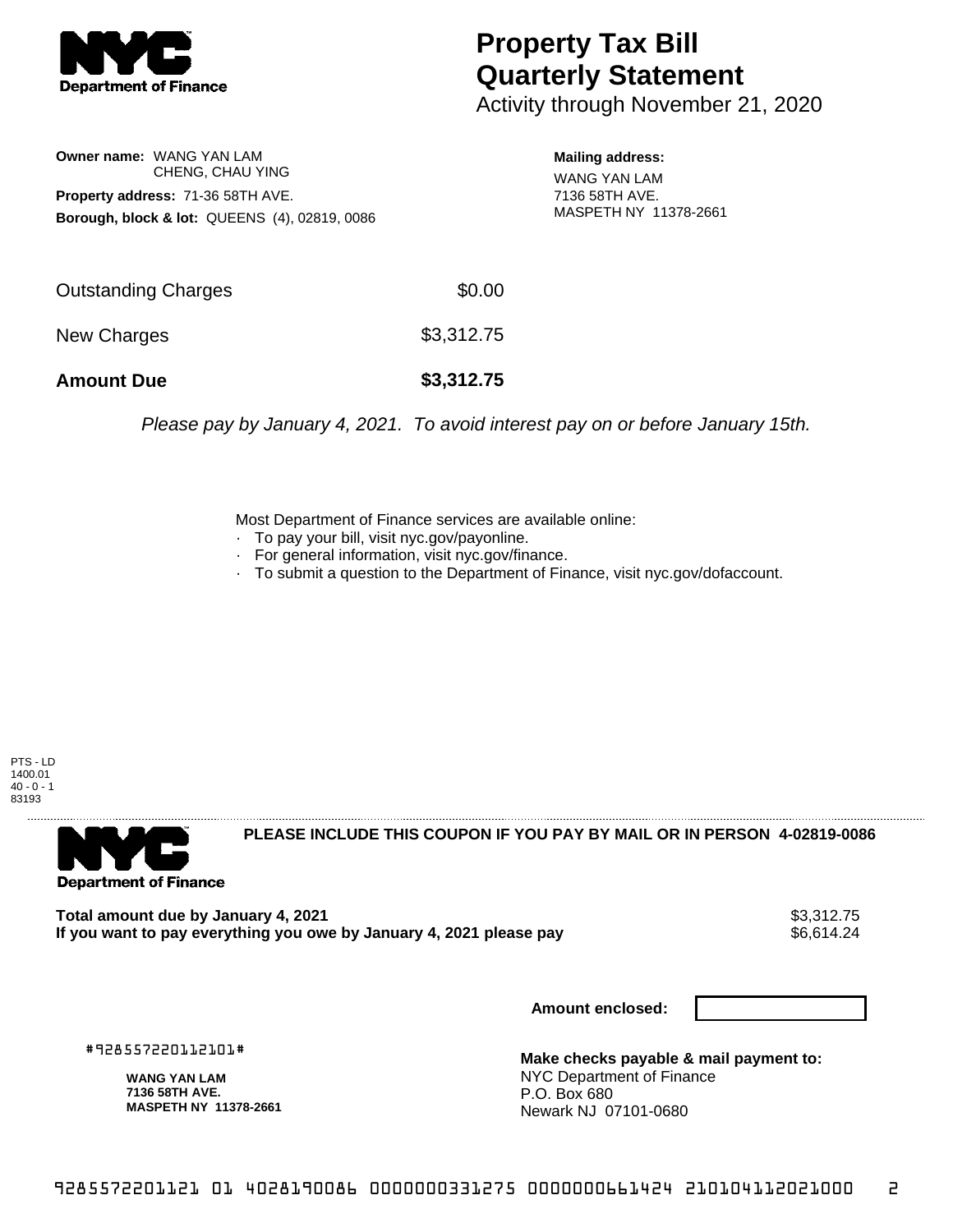

## **Property Tax Bill Quarterly Statement**

Activity through November 21, 2020

**Owner name:** WANG YAN LAM CHENG, CHAU YING **Property address:** 71-36 58TH AVE. **Borough, block & lot:** QUEENS (4), 02819, 0086

**Mailing address:** WANG YAN LAM 7136 58TH AVE. MASPETH NY 11378-2661

| Outstanding Charges<br>New Charges | \$3,312.75 |
|------------------------------------|------------|
| <b>Amount Due</b>                  | \$3,312.75 |

Please pay by January 4, 2021. To avoid interest pay on or before January 15th.

Most Department of Finance services are available online:

- · To pay your bill, visit nyc.gov/payonline.
- For general information, visit nyc.gov/finance.
- · To submit a question to the Department of Finance, visit nyc.gov/dofaccount.

PTS - LD 1400.01  $40 - 0 - 1$ 83193



**PLEASE INCLUDE THIS COUPON IF YOU PAY BY MAIL OR IN PERSON 4-02819-0086** 

Total amount due by January 4, 2021<br>If you want to pay everything you owe by January 4, 2021 please pay **show that the summan want of the set of** 6,614.24 If you want to pay everything you owe by January 4, 2021 please pay

**Amount enclosed:**

#928557220112101#

**WANG YAN LAM 7136 58TH AVE. MASPETH NY 11378-2661**

**Make checks payable & mail payment to:** NYC Department of Finance P.O. Box 680 Newark NJ 07101-0680